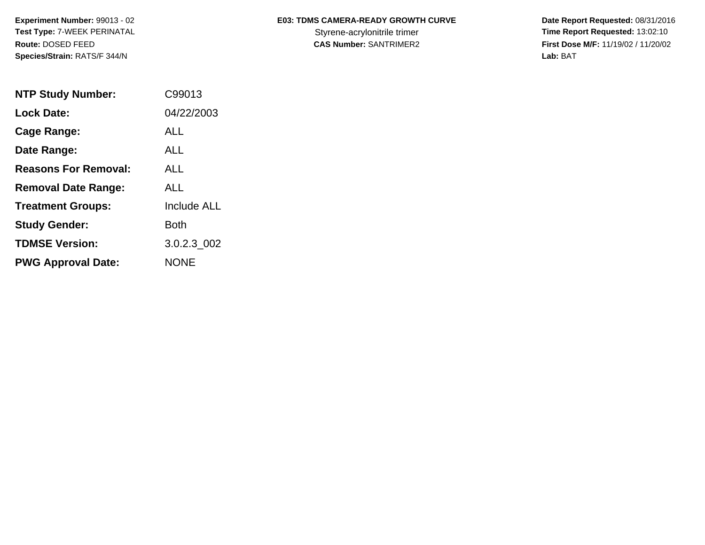**Species/Strain:** RATS/F 344/N **Lab:** BAT

## Experiment Number: 99013 - 02 **E03: TDMS CAMERA-READY GROWTH CURVE** Date Report Requested: 08/31/2016

Test Type: 7-WEEK PERINATAL **Styrene-acrylonitrile trimer** Styrene-acrylonitrile trimer **Time Report Requested:** 13:02:10 **Route:** DOSED FEED **CAS Number:** SANTRIMER2 **First Dose M/F:** 11/19/02 / 11/20/02

| <b>NTP Study Number:</b>    | C99013             |
|-----------------------------|--------------------|
| <b>Lock Date:</b>           | 04/22/2003         |
| Cage Range:                 | ALL                |
| Date Range:                 | ALL                |
| <b>Reasons For Removal:</b> | ALL                |
| <b>Removal Date Range:</b>  | ALL                |
| <b>Treatment Groups:</b>    | <b>Include ALL</b> |
| <b>Study Gender:</b>        | Both               |
| <b>TDMSE Version:</b>       | 3.0.2.3 002        |
| <b>PWG Approval Date:</b>   | NONE               |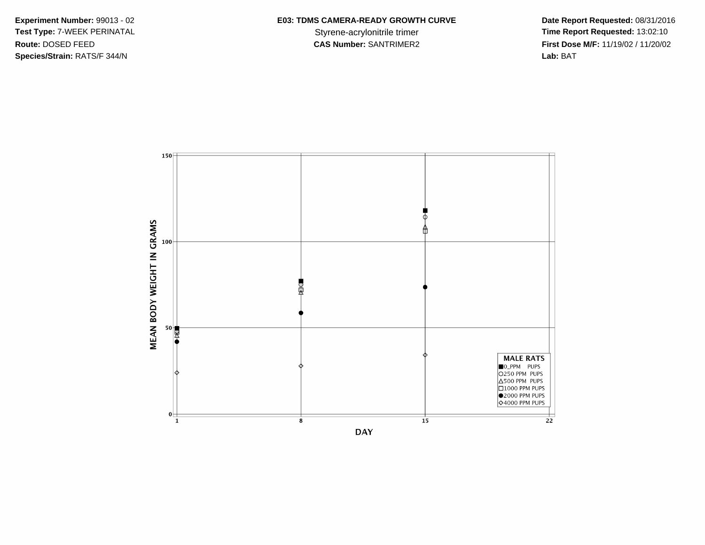**Species/Strain:** RATS/F 344/N **Lab:** BAT

## Experiment Number: 99013 - 02 **E03: TDMS CAMERA-READY GROWTH CURVE** Date Report Requested: 08/31/2016

Test Type: 7-WEEK PERINATAL **Styrene-acrylonitrile trimer** Styrene-acrylonitrile trimer **Time Report Requested:** 13:02:10 **Route:** DOSED FEED **CAS Number:** SANTRIMER2 **First Dose M/F:** 11/19/02 / 11/20/02